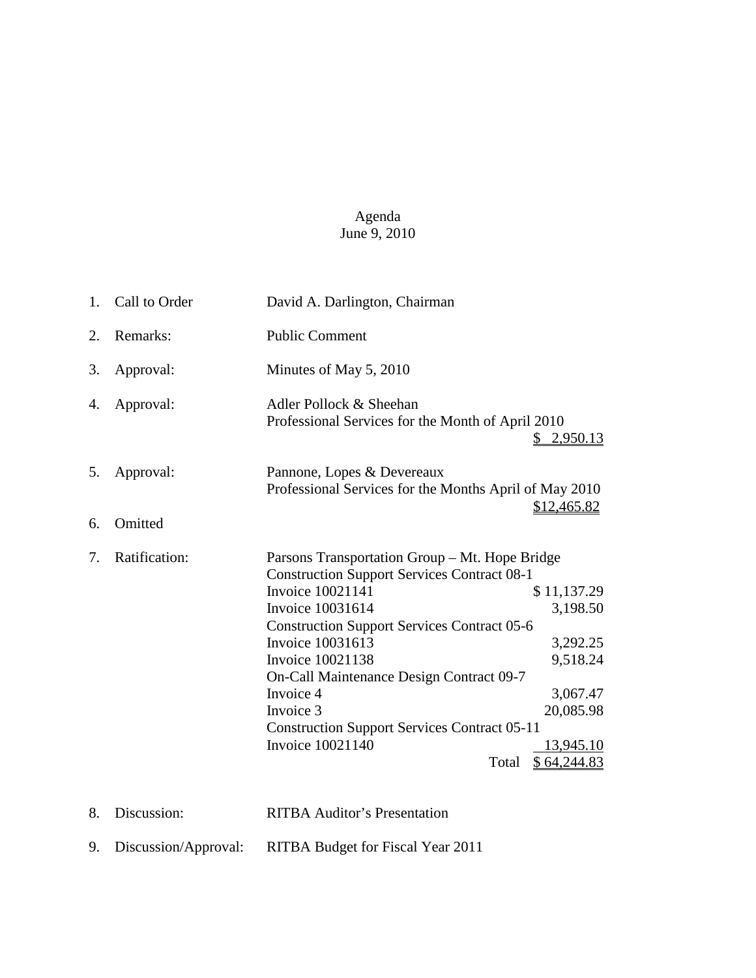## Agenda June 9, 2010

| 1. | Call to Order        | David A. Darlington, Chairman                                                                                                                                                                                                                                                                                                                                                                                                                                                                                                     |
|----|----------------------|-----------------------------------------------------------------------------------------------------------------------------------------------------------------------------------------------------------------------------------------------------------------------------------------------------------------------------------------------------------------------------------------------------------------------------------------------------------------------------------------------------------------------------------|
| 2. | Remarks:             | <b>Public Comment</b>                                                                                                                                                                                                                                                                                                                                                                                                                                                                                                             |
| 3. | Approval:            | Minutes of May 5, 2010                                                                                                                                                                                                                                                                                                                                                                                                                                                                                                            |
| 4. | Approval:            | Adler Pollock & Sheehan<br>Professional Services for the Month of April 2010<br>\$2,950.13                                                                                                                                                                                                                                                                                                                                                                                                                                        |
| 5. | Approval:            | Pannone, Lopes & Devereaux<br>Professional Services for the Months April of May 2010<br>\$12,465.82                                                                                                                                                                                                                                                                                                                                                                                                                               |
| 6. | Omitted              |                                                                                                                                                                                                                                                                                                                                                                                                                                                                                                                                   |
| 7. | Ratification:        | Parsons Transportation Group – Mt. Hope Bridge<br><b>Construction Support Services Contract 08-1</b><br>Invoice 10021141<br>\$11,137.29<br><b>Invoice 10031614</b><br>3,198.50<br><b>Construction Support Services Contract 05-6</b><br><b>Invoice 10031613</b><br>3,292.25<br><b>Invoice 10021138</b><br>9,518.24<br>On-Call Maintenance Design Contract 09-7<br>Invoice 4<br>3,067.47<br>Invoice 3<br>20,085.98<br><b>Construction Support Services Contract 05-11</b><br>Invoice 10021140<br>13,945.10<br>Total<br>\$64,244.83 |
| 8. | Discussion:          | <b>RITBA Auditor's Presentation</b>                                                                                                                                                                                                                                                                                                                                                                                                                                                                                               |
| 9. | Discussion/Approval: | RITBA Budget for Fiscal Year 2011                                                                                                                                                                                                                                                                                                                                                                                                                                                                                                 |